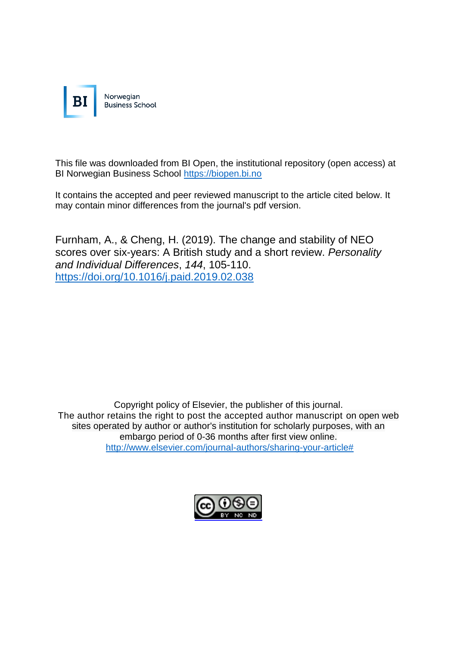

This file was downloaded from BI Open, the institutional repository (open access) at BI Norwegian Business School [https://biopen.bi.no](https://biopen.bi.no/)

It contains the accepted and peer reviewed manuscript to the article cited below. It may contain minor differences from the journal's pdf version.

Furnham, A., & Cheng, H. (2019). The change and stability of NEO scores over six-years: A British study and a short review. *Personality and Individual Differences*, *144*, 105-110. [https://doi.org/10.1016/j.paid.2019.02.038](https://doi-org.ezproxy.library.bi.no/10.1016/j.paid.2019.02.038)

Copyright policy of Elsevier, the publisher of this journal. The author retains the right to post the accepted author manuscript on open web sites operated by author or author's institution for scholarly purposes, with an embargo period of 0-36 months after first view online. [http://www.elsevier.com/journal-authors/sharing-your-article#](http://www.elsevier.com/journal-authors/sharing-your-article)

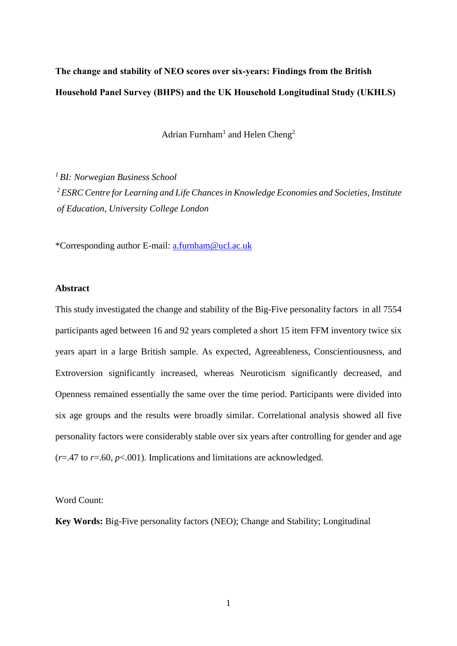**The change and stability of NEO scores over six-years: Findings from the British Household Panel Survey (BHPS) and the UK Household Longitudinal Study (UKHLS)**

Adrian Furnham<sup>1</sup> and Helen Cheng<sup>2</sup>

*<sup>1</sup> BI: Norwegian Business School <sup>2</sup>ESRC Centre for Learning and Life Chances in Knowledge Economies and Societies, Institute of Education, University College London*

\*Corresponding author E-mail: [a.furnham@ucl.ac.uk](mailto:h.furnham@ucl.ac.uk)

## **Abstract**

This study investigated the change and stability of the Big-Five personality factors in all 7554 participants aged between 16 and 92 years completed a short 15 item FFM inventory twice six years apart in a large British sample. As expected, Agreeableness, Conscientiousness, and Extroversion significantly increased, whereas Neuroticism significantly decreased, and Openness remained essentially the same over the time period. Participants were divided into six age groups and the results were broadly similar. Correlational analysis showed all five personality factors were considerably stable over six years after controlling for gender and age  $(r=47 \text{ to } r=.60, p<.001)$ . Implications and limitations are acknowledged.

Word Count:

**Key Words:** Big-Five personality factors (NEO); Change and Stability; Longitudinal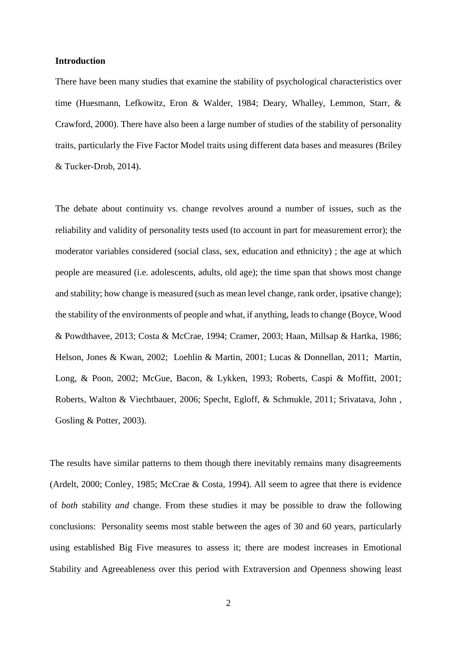#### **Introduction**

There have been many studies that examine the stability of psychological characteristics over time (Huesmann, Lefkowitz, Eron & Walder, 1984; Deary, Whalley, Lemmon, Starr, & Crawford, 2000). There have also been a large number of studies of the stability of personality traits, particularly the Five Factor Model traits using different data bases and measures (Briley & Tucker-Drob, 2014).

The debate about continuity vs. change revolves around a number of issues, such as the reliability and validity of personality tests used (to account in part for measurement error); the moderator variables considered (social class, sex, education and ethnicity) ; the age at which people are measured (i.e. adolescents, adults, old age); the time span that shows most change and stability; how change is measured (such as mean level change, rank order, ipsative change); the stability of the environments of people and what, if anything, leads to change (Boyce, Wood & Powdthavee, 2013; Costa & McCrae, 1994; Cramer, 2003; Haan, Millsap & Hartka, 1986; Helson, Jones & Kwan, 2002; Loehlin & Martin, 2001; Lucas & Donnellan, 2011; Martin, Long, & Poon, 2002; McGue, Bacon, & Lykken, 1993; Roberts, Caspi & Moffitt, 2001; Roberts, Walton & Viechtbauer, 2006; Specht, Egloff, & Schmukle, 2011; Srivatava, John , Gosling & Potter, 2003).

The results have similar patterns to them though there inevitably remains many disagreements (Ardelt, 2000; Conley, 1985; McCrae & Costa, 1994). All seem to agree that there is evidence of *both* stability *and* change. From these studies it may be possible to draw the following conclusions: Personality seems most stable between the ages of 30 and 60 years, particularly using established Big Five measures to assess it; there are modest increases in Emotional Stability and Agreeableness over this period with Extraversion and Openness showing least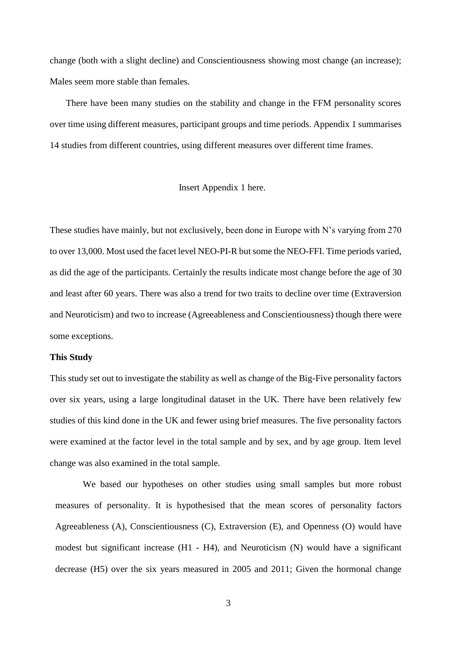change (both with a slight decline) and Conscientiousness showing most change (an increase); Males seem more stable than females.

 There have been many studies on the stability and change in the FFM personality scores over time using different measures, participant groups and time periods. Appendix 1 summarises 14 studies from different countries, using different measures over different time frames.

## Insert Appendix 1 here.

These studies have mainly, but not exclusively, been done in Europe with N's varying from 270 to over 13,000. Most used the facet level NEO-PI-R but some the NEO-FFI. Time periods varied, as did the age of the participants. Certainly the results indicate most change before the age of 30 and least after 60 years. There was also a trend for two traits to decline over time (Extraversion and Neuroticism) and two to increase (Agreeableness and Conscientiousness) though there were some exceptions.

#### **This Study**

This study set out to investigate the stability as well as change of the Big-Five personality factors over six years, using a large longitudinal dataset in the UK. There have been relatively few studies of this kind done in the UK and fewer using brief measures. The five personality factors were examined at the factor level in the total sample and by sex, and by age group. Item level change was also examined in the total sample.

We based our hypotheses on other studies using small samples but more robust measures of personality. It is hypothesised that the mean scores of personality factors Agreeableness (A), Conscientiousness (C), Extraversion (E), and Openness (O) would have modest but significant increase (H1 - H4), and Neuroticism (N) would have a significant decrease (H5) over the six years measured in 2005 and 2011; Given the hormonal change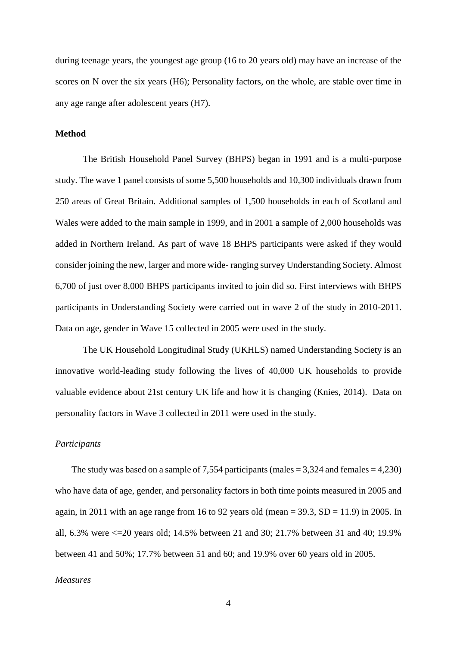during teenage years, the youngest age group (16 to 20 years old) may have an increase of the scores on N over the six years (H6); Personality factors, on the whole, are stable over time in any age range after adolescent years (H7).

## **Method**

The British Household Panel Survey (BHPS) began in 1991 and is a multi-purpose study. The wave 1 panel consists of some 5,500 households and 10,300 individuals drawn from 250 areas of Great Britain. Additional samples of 1,500 households in each of Scotland and Wales were added to the main sample in 1999, and in 2001 a sample of 2,000 households was added in Northern Ireland. As part of wave 18 BHPS participants were asked if they would consider joining the new, larger and more wide- ranging survey Understanding Society. Almost 6,700 of just over 8,000 BHPS participants invited to join did so. First interviews with BHPS participants in Understanding Society were carried out in wave 2 of the study in 2010-2011. Data on age, gender in Wave 15 collected in 2005 were used in the study.

The UK Household Longitudinal Study (UKHLS) named Understanding Society is an innovative world-leading study following the lives of 40,000 UK households to provide valuable evidence about 21st century UK life and how it is changing (Knies, 2014). Data on personality factors in Wave 3 collected in 2011 were used in the study.

#### *Participants*

The study was based on a sample of 7,554 participants (males  $= 3,324$  and females  $= 4,230$ ) who have data of age, gender, and personality factors in both time points measured in 2005 and again, in 2011 with an age range from 16 to 92 years old (mean =  $39.3$ , SD = 11.9) in 2005. In all, 6.3% were <=20 years old; 14.5% between 21 and 30; 21.7% between 31 and 40; 19.9% between 41 and 50%; 17.7% between 51 and 60; and 19.9% over 60 years old in 2005.

# *Measures*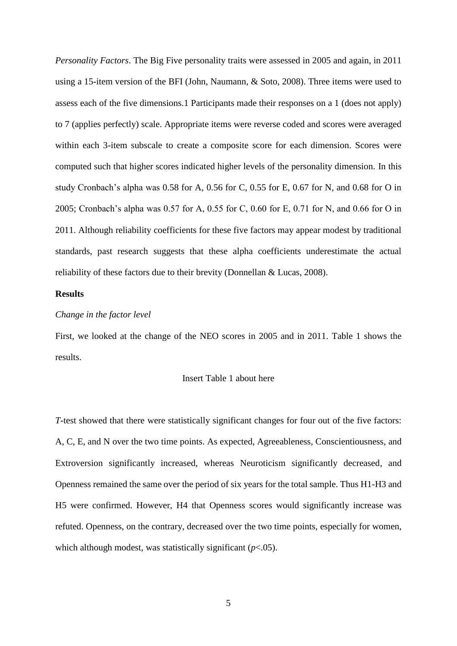*Personality Factors*. The Big Five personality traits were assessed in 2005 and again, in 2011 using a 15-item version of the BFI (John, Naumann, & Soto, 2008). Three items were used to assess each of the five dimensions.1 Participants made their responses on a 1 (does not apply) to 7 (applies perfectly) scale. Appropriate items were reverse coded and scores were averaged within each 3-item subscale to create a composite score for each dimension. Scores were computed such that higher scores indicated higher levels of the personality dimension. In this study Cronbach's alpha was 0.58 for A, 0.56 for C, 0.55 for E, 0.67 for N, and 0.68 for O in 2005; Cronbach's alpha was 0.57 for A, 0.55 for C, 0.60 for E, 0.71 for N, and 0.66 for O in 2011. Although reliability coefficients for these five factors may appear modest by traditional standards, past research suggests that these alpha coefficients underestimate the actual reliability of these factors due to their brevity (Donnellan & Lucas, 2008).

# **Results**

# *Change in the factor level*

First, we looked at the change of the NEO scores in 2005 and in 2011. Table 1 shows the results.

## Insert Table 1 about here

*T*-test showed that there were statistically significant changes for four out of the five factors: A, C, E, and N over the two time points. As expected, Agreeableness, Conscientiousness, and Extroversion significantly increased, whereas Neuroticism significantly decreased, and Openness remained the same over the period of six years for the total sample. Thus H1-H3 and H5 were confirmed. However, H4 that Openness scores would significantly increase was refuted. Openness, on the contrary, decreased over the two time points, especially for women, which although modest, was statistically significant (*p*<.05).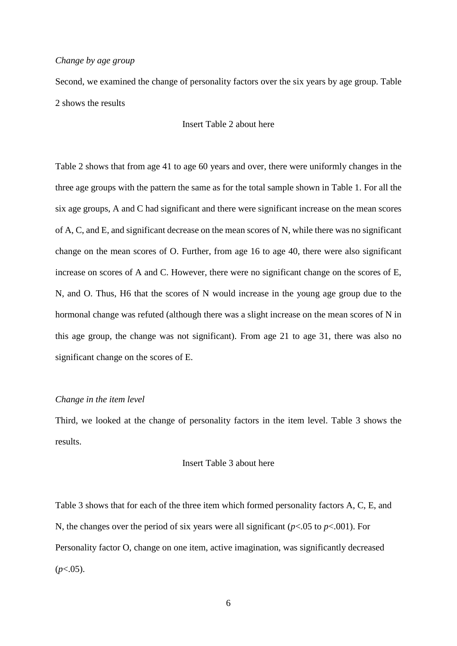## *Change by age group*

Second, we examined the change of personality factors over the six years by age group. Table 2 shows the results

# Insert Table 2 about here

Table 2 shows that from age 41 to age 60 years and over, there were uniformly changes in the three age groups with the pattern the same as for the total sample shown in Table 1. For all the six age groups, A and C had significant and there were significant increase on the mean scores of A, C, and E, and significant decrease on the mean scores of N, while there was no significant change on the mean scores of O. Further, from age 16 to age 40, there were also significant increase on scores of A and C. However, there were no significant change on the scores of E, N, and O. Thus, H6 that the scores of N would increase in the young age group due to the hormonal change was refuted (although there was a slight increase on the mean scores of N in this age group, the change was not significant). From age 21 to age 31, there was also no significant change on the scores of E.

## *Change in the item level*

Third, we looked at the change of personality factors in the item level. Table 3 shows the results.

## Insert Table 3 about here

Table 3 shows that for each of the three item which formed personality factors A, C, E, and N, the changes over the period of six years were all significant (*p*<.05 to *p*<.001). For Personality factor O, change on one item, active imagination, was significantly decreased  $(p<.05)$ .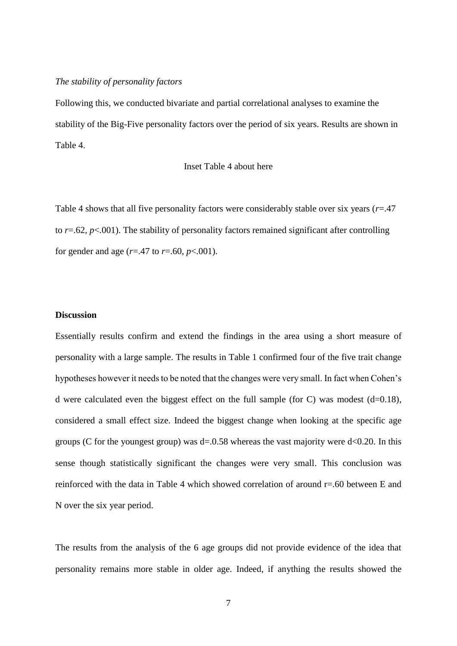## *The stability of personality factors*

Following this, we conducted bivariate and partial correlational analyses to examine the stability of the Big-Five personality factors over the period of six years. Results are shown in Table 4.

# Inset Table 4 about here

Table 4 shows that all five personality factors were considerably stable over six years (*r*=.47 to  $r = .62$ ,  $p < .001$ ). The stability of personality factors remained significant after controlling for gender and age  $(r=.47 \text{ to } r=.60, p<.001)$ .

# **Discussion**

Essentially results confirm and extend the findings in the area using a short measure of personality with a large sample. The results in Table 1 confirmed four of the five trait change hypotheses however it needs to be noted that the changes were very small. In fact when Cohen's d were calculated even the biggest effect on the full sample (for C) was modest (d=0.18), considered a small effect size. Indeed the biggest change when looking at the specific age groups (C for the youngest group) was  $d=0.58$  whereas the vast majority were  $d<0.20$ . In this sense though statistically significant the changes were very small. This conclusion was reinforced with the data in Table 4 which showed correlation of around r=.60 between E and N over the six year period.

The results from the analysis of the 6 age groups did not provide evidence of the idea that personality remains more stable in older age. Indeed, if anything the results showed the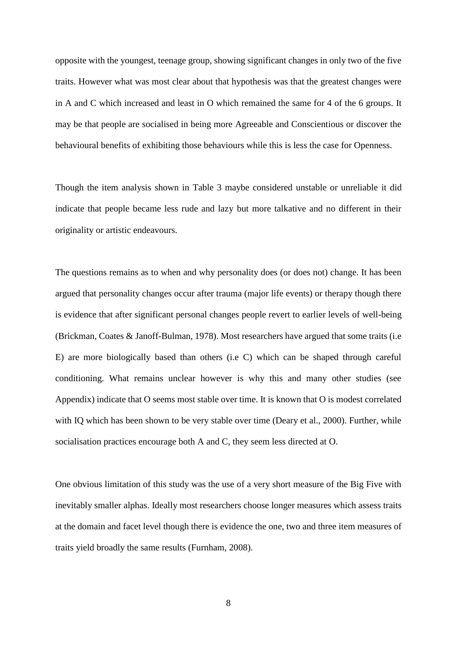opposite with the youngest, teenage group, showing significant changes in only two of the five traits. However what was most clear about that hypothesis was that the greatest changes were in A and C which increased and least in O which remained the same for 4 of the 6 groups. It may be that people are socialised in being more Agreeable and Conscientious or discover the behavioural benefits of exhibiting those behaviours while this is less the case for Openness.

Though the item analysis shown in Table 3 maybe considered unstable or unreliable it did indicate that people became less rude and lazy but more talkative and no different in their originality or artistic endeavours.

The questions remains as to when and why personality does (or does not) change. It has been argued that personality changes occur after trauma (major life events) or therapy though there is evidence that after significant personal changes people revert to earlier levels of well-being (Brickman, Coates & Janoff-Bulman, 1978). Most researchers have argued that some traits (i.e E) are more biologically based than others (i.e C) which can be shaped through careful conditioning. What remains unclear however is why this and many other studies (see Appendix) indicate that O seems most stable over time. It is known that O is modest correlated with IQ which has been shown to be very stable over time (Deary et al., 2000). Further, while socialisation practices encourage both A and C, they seem less directed at O.

One obvious limitation of this study was the use of a very short measure of the Big Five with inevitably smaller alphas. Ideally most researchers choose longer measures which assess traits at the domain and facet level though there is evidence the one, two and three item measures of traits yield broadly the same results (Furnham, 2008).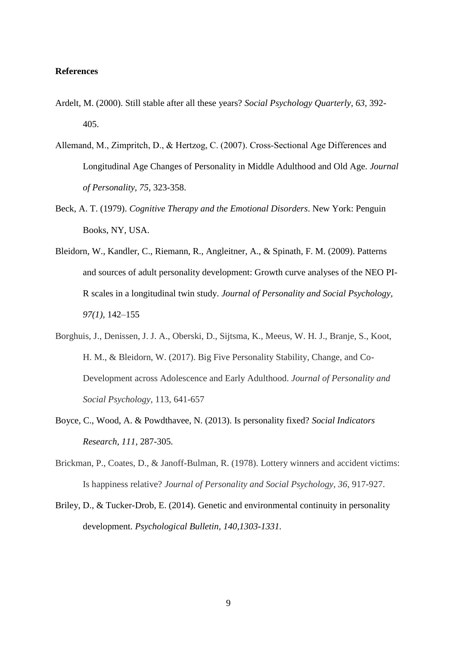# **References**

- Ardelt, M. (2000). Still stable after all these years? *Social Psychology Quarterly, 63,* 392- 405.
- Allemand, M., Zimpritch, D., & Hertzog, C. (2007). Cross‐Sectional Age Differences and Longitudinal Age Changes of Personality in Middle Adulthood and Old Age. *Journal of Personality, 75*, 323-358.
- Beck, A. T. (1979). *Cognitive Therapy and the Emotional Disorders*. New York: Penguin Books, NY, USA.
- Bleidorn, W., Kandler, C., Riemann, R., Angleitner, A., & Spinath, F. M. (2009). Patterns and sources of adult personality development: Growth curve analyses of the NEO PI-R scales in a longitudinal twin study. *Journal of Personality and Social Psychology, 97(1),* 142–155
- Borghuis, J., Denissen, J. J. A., Oberski, D., Sijtsma, K., Meeus, W. H. J., Branje, S., Koot, H. M., & Bleidorn, W. (2017). Big Five Personality Stability, Change, and Co-Development across Adolescence and Early Adulthood. *Journal of Personality and Social Psychology,* 113, 641-657
- Boyce, C., Wood, A. & Powdthavee, N. (2013). Is personality fixed? *Social Indicators Research, 111,* 287-305.
- Brickman, P., Coates, D., & Janoff-Bulman, R. (1978). Lottery winners and accident victims: Is happiness relative? *Journal of Personality and Social Psychology, 36,* 917-927.
- Briley, D., & Tucker-Drob, E. (2014). Genetic and environmental continuity in personality development. *Psychological Bulletin, 140,1303-1331.*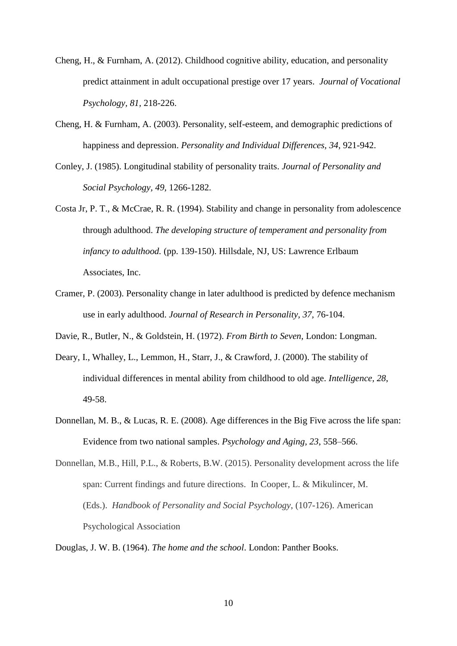- Cheng, H., & Furnham, A. (2012). Childhood cognitive ability, education, and personality predict attainment in adult occupational prestige over 17 years. *Journal of Vocational Psychology, 81,* 218-226.
- Cheng, H. & Furnham, A. (2003). Personality, self-esteem, and demographic predictions of happiness and depression. *Personality and Individual Differences, 34*, 921-942.
- Conley, J. (1985). Longitudinal stability of personality traits. *Journal of Personality and Social Psychology, 49,* 1266-1282.
- Costa Jr, P. T., & McCrae, R. R. (1994). Stability and change in personality from adolescence through adulthood. *The developing structure of temperament and personality from infancy to adulthood.* (pp. 139-150). Hillsdale, NJ, US: Lawrence Erlbaum Associates, Inc.
- Cramer, P. (2003). Personality change in later adulthood is predicted by defence mechanism use in early adulthood. *Journal of Research in Personality, 37,* 76-104.
- Davie, R., Butler, N., & Goldstein, H. (1972). *From Birth to Seven,* London: Longman.
- Deary, I., Whalley, L., Lemmon, H., Starr, J., & Crawford, J. (2000). The stability of individual differences in mental ability from childhood to old age. *Intelligence, 28*, 49-58.
- Donnellan, M. B., & Lucas, R. E. (2008). Age differences in the Big Five across the life span: Evidence from two national samples. *Psychology and Aging, 23*, 558–566.

Donnellan, M.B., Hill, P.L., & Roberts, B.W. (2015). Personality development across the life span: Current findings and future directions. In Cooper, L. & Mikulincer, M. (Eds.). *Handbook of Personality and Social Psychology*, (107-126). American Psychological Association

Douglas, J. W. B. (1964). *The home and the school*. London: Panther Books.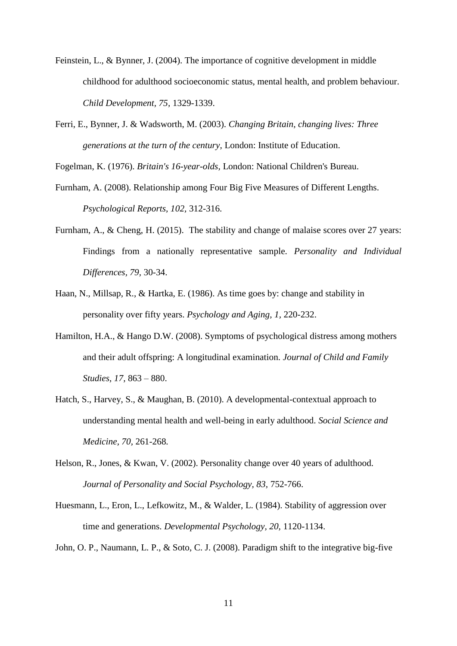- Feinstein, L., & Bynner, J. (2004). The importance of cognitive development in middle childhood for adulthood socioeconomic status, mental health, and problem behaviour. *Child Development, 75,* 1329-1339.
- Ferri, E., Bynner, J. & Wadsworth, M. (2003). *Changing Britain, changing lives: Three generations at the turn of the century,* London: Institute of Education.

Fogelman, K. (1976). *Britain's 16-year-olds,* London: National Children's Bureau.

- Furnham, A. (2008). Relationship among Four Big Five Measures of Different Lengths. *Psychological Reports, 102,* 312-316.
- Furnham, A., & Cheng, H. (2015). The stability and change of malaise scores over 27 years: Findings from a nationally representative sample*. Personality and Individual Differences, 79,* 30-34.
- Haan, N., Millsap, R., & Hartka, E. (1986). As time goes by: change and stability in personality over fifty years. *Psychology and Aging, 1,* 220-232.
- Hamilton, H.A., & Hango D.W. (2008). Symptoms of psychological distress among mothers and their adult offspring: A longitudinal examination. *Journal of Child and Family Studies, 17,* 863 – 880.
- Hatch, S., Harvey, S., & Maughan, B. (2010). A developmental-contextual approach to understanding mental health and well-being in early adulthood. *Social Science and Medicine, 70,* 261-268*.*
- Helson, R., Jones, & Kwan, V. (2002). Personality change over 40 years of adulthood. *Journal of Personality and Social Psychology, 83,* 752-766.
- Huesmann, L., Eron, L., Lefkowitz, M., & Walder, L. (1984). Stability of aggression over time and generations. *Developmental Psychology, 20,* 1120-1134.

John, O. P., Naumann, L. P., & Soto, C. J. (2008). Paradigm shift to the integrative big-five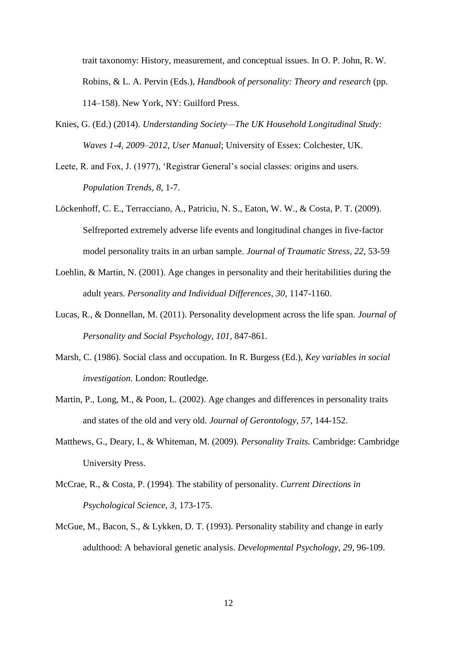trait taxonomy: History, measurement, and conceptual issues. In O. P. John, R. W. Robins, & L. A. Pervin (Eds.), *Handbook of personality: Theory and research* (pp. 114–158). New York, NY: Guilford Press.

- Knies, G. (Ed.) (2014). *Understanding Society—The UK Household Longitudinal Study: Waves 1-4, 2009*–*2012, User Manual*; University of Essex: Colchester, UK.
- Leete, R. and Fox, J. (1977), 'Registrar General's social classes: origins and users. *Population Trends, 8,* 1-7.
- Löckenhoff, C. E., Terracciano, A., Patriciu, N. S., Eaton, W. W., & Costa, P. T. (2009). Selfreported extremely adverse life events and longitudinal changes in five-factor model personality traits in an urban sample. *Journal of Traumatic Stress, 22,* 53-59
- Loehlin, & Martin, N. (2001). Age changes in personality and their heritabilities during the adult years. *Personality and Individual Differences, 30*, 1147-1160.
- Lucas, R., & Donnellan, M. (2011). Personality development across the life span. *Journal of Personality and Social Psychology, 101,* 847-861.
- Marsh, C. (1986). Social class and occupation. In R. Burgess (Ed.), *Key variables in social investigation*. London: Routledge.
- Martin, P., Long, M., & Poon, L. (2002). Age changes and differences in personality traits and states of the old and very old. *Journal of Gerontology, 57,* 144-152.
- Matthews, G., Deary, I., & Whiteman, M. (2009). *Personality Traits.* Cambridge: Cambridge University Press.
- McCrae, R., & Costa, P. (1994). The stability of personality. *Current Directions in Psychological Science, 3,* 173-175.
- McGue, M., Bacon, S., & Lykken, D. T. (1993). Personality stability and change in early adulthood: A behavioral genetic analysis. *Developmental Psychology, 29*, 96-109.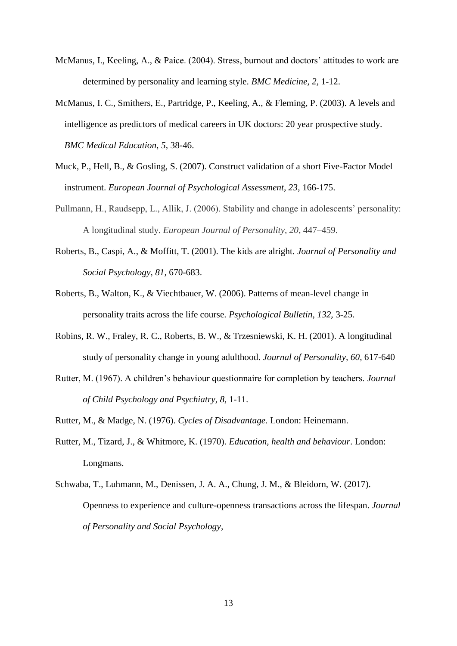- McManus, I., Keeling, A., & Paice. (2004). Stress, burnout and doctors' attitudes to work are determined by personality and learning style. *BMC Medicine, 2,* 1-12.
- McManus, I. C., Smithers, E., Partridge, P., Keeling, A., & Fleming, P. (2003). A levels and intelligence as predictors of medical careers in UK doctors: 20 year prospective study. *BMC Medical Education, 5,* 38-46.
- Muck, P., Hell, B., & Gosling, S. (2007). Construct validation of a short Five-Factor Model instrument. *European Journal of Psychological Assessment, 23*, 166-175.
- Pullmann, H., Raudsepp, L., Allik, J. (2006). Stability and change in adolescents' personality: A longitudinal study. *European Journal of Personality, 20*, 447–459.
- Roberts, B., Caspi, A., & Moffitt, T. (2001). The kids are alright. *Journal of Personality and Social Psychology, 81,* 670-683.
- Roberts, B., Walton, K., & Viechtbauer, W. (2006). Patterns of mean-level change in personality traits across the life course. *Psychological Bulletin, 132,* 3-25.
- Robins, R. W., Fraley, R. C., Roberts, B. W., & Trzesniewski, K. H. (2001). A longitudinal study of personality change in young adulthood. *Journal of Personality, 60,* 617-640
- Rutter, M. (1967). A children's behaviour questionnaire for completion by teachers. *Journal of Child Psychology and Psychiatry, 8,* 1-11.
- Rutter, M., & Madge, N. (1976). *Cycles of Disadvantage.* London: Heinemann.
- Rutter, M., Tizard, J., & Whitmore, K. (1970). *Education, health and behaviour*. London: Longmans.
- Schwaba, T., Luhmann, M., Denissen, J. A. A., Chung, J. M., & Bleidorn, W. (2017). Openness to experience and culture-openness transactions across the lifespan. *Journal of Personality and Social Psychology,*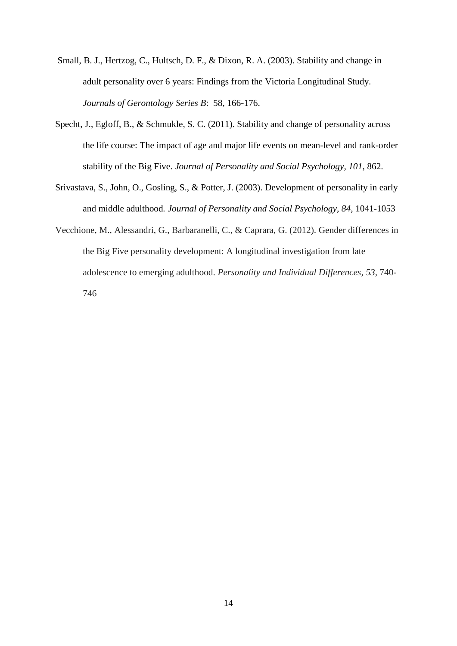- Small, B. J., Hertzog, C., Hultsch, D. F., & Dixon, R. A. (2003). Stability and change in adult personality over 6 years: Findings from the Victoria Longitudinal Study. *Journals of Gerontology Series B*: 58, 166-176.
- Specht, J., Egloff, B., & Schmukle, S. C. (2011). Stability and change of personality across the life course: The impact of age and major life events on mean-level and rank-order stability of the Big Five. *Journal of Personality and Social Psychology, 101*, 862.
- Srivastava, S., John, O., Gosling, S., & Potter, J. (2003). Development of personality in early and middle adulthood*. Journal of Personality and Social Psychology, 84,* 1041-1053
- Vecchione, M., Alessandri, G., Barbaranelli, C., & Caprara, G. (2012). Gender differences in the Big Five personality development: A longitudinal investigation from late adolescence to emerging adulthood. *Personality and Individual Differences, 53,* 740- 746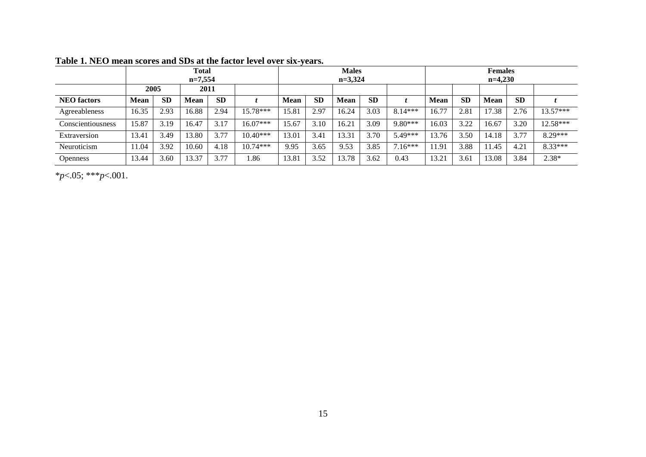|                    |             |           | <b>Total</b><br>$n=7,554$ |           |            |             |           | <b>Males</b><br>$n=3,324$ |           |           |             |           | <b>Females</b><br>$n=4,230$ |           |            |
|--------------------|-------------|-----------|---------------------------|-----------|------------|-------------|-----------|---------------------------|-----------|-----------|-------------|-----------|-----------------------------|-----------|------------|
|                    | 2005        |           | 2011                      |           |            |             |           |                           |           |           |             |           |                             |           |            |
| <b>NEO</b> factors | <b>Mean</b> | <b>SD</b> | <b>Mean</b>               | <b>SD</b> |            | <b>Mean</b> | <b>SD</b> | <b>Mean</b>               | <b>SD</b> |           | <b>Mean</b> | <b>SD</b> | <b>Mean</b>                 | <b>SD</b> |            |
| Agreeableness      | 16.35       | 2.93      | 16.88                     | 2.94      | 15.78***   | 15.81       | 2.97      | 16.24                     | 3.03      | $8.14***$ | 16.77       | 2.81      | 17.38                       | 2.76      | $13.57***$ |
| Conscientiousness  | 15.87       | 3.19      | 16.47                     | 3.17      | $16.07***$ | 15.67       | 3.10      | 16.21                     | 3.09      | $9.80***$ | 16.03       | 3.22      | 16.67                       | 3.20      | 12.58***   |
| Extraversion       | 13.41       | 3.49      | 13.80                     | 3.77      | $10.40***$ | 13.01       | 3.41      | 13.31                     | 3.70      | 5.49***   | 13.76       | 3.50      | 14.18                       | 3.77      | $8.29***$  |
| Neuroticism        | 11.04       | 3.92      | 10.60                     | 4.18      | $10.74***$ | 9.95        | 3.65      | 9.53                      | 3.85      | $7.16***$ | 11.91       | 3.88      | 11.45                       | 4.21      | $8.33***$  |
| <b>Openness</b>    | 13.44       | 3.60      | 13.37                     | 3.77      | 1.86       | 13.81       | 3.52      | 13.78                     | 3.62      | 0.43      | 13.21       | 3.6       | 13.08                       | 3.84      | 2.38*      |

**Table 1. NEO mean scores and SDs at the factor level over six-years.**

\**p*<.05; \*\*\**p*<.001.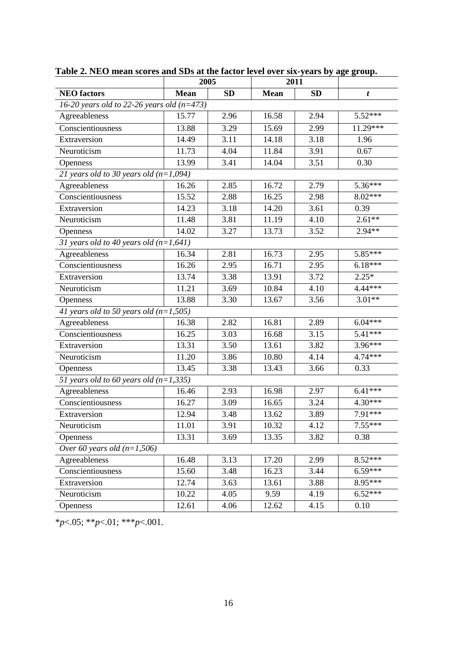|                                                | 2005        |           |             | 2011      |            |
|------------------------------------------------|-------------|-----------|-------------|-----------|------------|
| <b>NEO</b> factors                             | <b>Mean</b> | <b>SD</b> | <b>Mean</b> | <b>SD</b> | t          |
| 16-20 years old to 22-26 years old ( $n=473$ ) |             |           |             |           |            |
| Agreeableness                                  | 15.77       | 2.96      | 16.58       | 2.94      | $5.52***$  |
| Conscientiousness                              | 13.88       | 3.29      | 15.69       | 2.99      | $11.29***$ |
| Extraversion                                   | 14.49       | 3.11      | 14.18       | 3.18      | 1.96       |
| Neuroticism                                    | 11.73       | 4.04      | 11.84       | 3.91      | 0.67       |
| Openness                                       | 13.99       | 3.41      | 14.04       | 3.51      | 0.30       |
| 21 years old to 30 years old $(n=1,094)$       |             |           |             |           |            |
| Agreeableness                                  | 16.26       | 2.85      | 16.72       | 2.79      | 5.36***    |
| Conscientiousness                              | 15.52       | 2.88      | 16.25       | 2.98      | 8.02***    |
| Extraversion                                   | 14.23       | 3.18      | 14.20       | 3.61      | 0.39       |
| Neuroticism                                    | 11.48       | 3.81      | 11.19       | 4.10      | $2.61**$   |
| <b>Openness</b>                                | 14.02       | 3.27      | 13.73       | 3.52      | 2.94**     |
| 31 years old to 40 years old $(n=1,641)$       |             |           |             |           |            |
| Agreeableness                                  | 16.34       | 2.81      | 16.73       | 2.95      | 5.85***    |
| Conscientiousness                              | 16.26       | 2.95      | 16.71       | 2.95      | $6.18***$  |
| Extraversion                                   | 13.74       | 3.38      | 13.91       | 3.72      | $2.25*$    |
| Neuroticism                                    | 11.21       | 3.69      | 10.84       | 4.10      | $4.44***$  |
| Openness                                       | 13.88       | 3.30      | 13.67       | 3.56      | $3.01**$   |
| 41 years old to 50 years old $(n=1,505)$       |             |           |             |           |            |
| Agreeableness                                  | 16.38       | 2.82      | 16.81       | 2.89      | $6.04***$  |
| Conscientiousness                              | 16.25       | 3.03      | 16.68       | 3.15      | 5.41***    |
| Extraversion                                   | 13.31       | 3.50      | 13.61       | 3.82      | 3.96***    |
| Neuroticism                                    | 11.20       | 3.86      | 10.80       | 4.14      | $4.74***$  |
| <b>Openness</b>                                | 13.45       | 3.38      | 13.43       | 3.66      | 0.33       |
| 51 years old to 60 years old $(n=1,335)$       |             |           |             |           |            |
| Agreeableness                                  | 16.46       | 2.93      | 16.98       | 2.97      | $6.41$ *** |
| Conscientiousness                              | 16.27       | 3.09      | 16.65       | 3.24      | 4.30***    |
| Extraversion                                   | 12.94       | 3.48      | 13.62       | 3.89      | 7.91***    |
| Neuroticism                                    | 11.01       | 3.91      | 10.32       | 4.12      | $7.55***$  |
| Openness                                       | 13.31       | 3.69      | 13.35       | 3.82      | 0.38       |
| Over 60 years old $(n=1,506)$                  |             |           |             |           |            |
| Agreeableness                                  | 16.48       | 3.13      | 17.20       | 2.99      | 8.52***    |
| Conscientiousness                              | 15.60       | 3.48      | 16.23       | 3.44      | $6.59***$  |
| Extraversion                                   | 12.74       | 3.63      | 13.61       | 3.88      | $8.95***$  |
| Neuroticism                                    | 10.22       | 4.05      | 9.59        | 4.19      | $6.52***$  |
| Openness                                       | 12.61       | 4.06      | 12.62       | 4.15      | 0.10       |

**Table 2. NEO mean scores and SDs at the factor level over six-years by age group.**

\**p*<.05; \*\**p*<.01; \*\*\**p*<.001.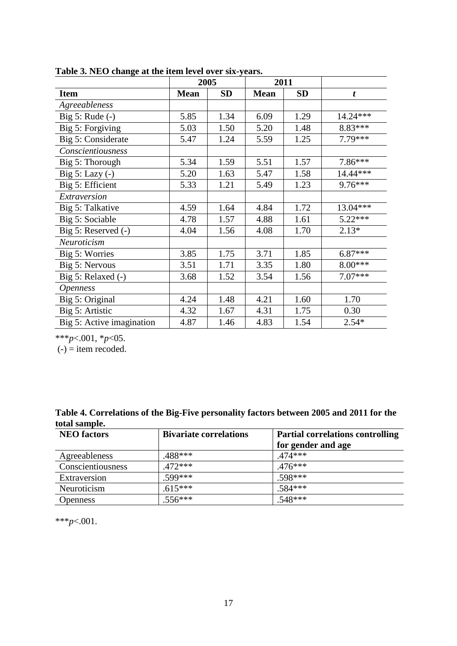|                           |             | 2005      | 2011        |           |            |
|---------------------------|-------------|-----------|-------------|-----------|------------|
| <b>Item</b>               | <b>Mean</b> | <b>SD</b> | <b>Mean</b> | <b>SD</b> | t          |
| Agreeableness             |             |           |             |           |            |
| Big 5: Rude $(-)$         | 5.85        | 1.34      | 6.09        | 1.29      | 14.24***   |
| Big 5: Forgiving          | 5.03        | 1.50      | 5.20        | 1.48      | 8.83***    |
| Big 5: Considerate        | 5.47        | 1.24      | 5.59        | 1.25      | 7.79***    |
| Conscientiousness         |             |           |             |           |            |
| Big 5: Thorough           | 5.34        | 1.59      | 5.51        | 1.57      | $7.86***$  |
| Big 5: Lazy $(-)$         | 5.20        | 1.63      | 5.47        | 1.58      | $14.44***$ |
| Big 5: Efficient          | 5.33        | 1.21      | 5.49        | 1.23      | $9.76***$  |
| Extraversion              |             |           |             |           |            |
| Big 5: Talkative          | 4.59        | 1.64      | 4.84        | 1.72      | $13.04***$ |
| Big 5: Sociable           | 4.78        | 1.57      | 4.88        | 1.61      | $5.22***$  |
| Big 5: Reserved (-)       | 4.04        | 1.56      | 4.08        | 1.70      | $2.13*$    |
| Neuroticism               |             |           |             |           |            |
| Big 5: Worries            | 3.85        | 1.75      | 3.71        | 1.85      | $6.87***$  |
| Big 5: Nervous            | 3.51        | 1.71      | 3.35        | 1.80      | $8.00***$  |
| Big 5: Relaxed (-)        | 3.68        | 1.52      | 3.54        | 1.56      | $7.07***$  |
| <i><b>Openness</b></i>    |             |           |             |           |            |
| Big 5: Original           | 4.24        | 1.48      | 4.21        | 1.60      | 1.70       |
| Big 5: Artistic           | 4.32        | 1.67      | 4.31        | 1.75      | 0.30       |
| Big 5: Active imagination | 4.87        | 1.46      | 4.83        | 1.54      | $2.54*$    |

**Table 3. NEO change at the item level over six-years.**

\*\*\**p*<.001, \**p*<05.

 $(-)$  = item recoded.

| Table 4. Correlations of the Big-Five personality factors between 2005 and 2011 for the |  |  |  |
|-----------------------------------------------------------------------------------------|--|--|--|
| total sample.                                                                           |  |  |  |

| <b>NEO</b> factors | <b>Bivariate correlations</b> | <b>Partial correlations controlling</b> |
|--------------------|-------------------------------|-----------------------------------------|
|                    |                               | for gender and age                      |
| Agreeableness      | $.488***$                     | $.474***$                               |
| Conscientiousness  | $.472***$                     | $.476***$                               |
| Extraversion       | $.599***$                     | $.598***$                               |
| Neuroticism        | $.615***$                     | $.584***$                               |
| <b>Openness</b>    | $.556***$                     | $.548***$                               |

\*\*\**p*<.001.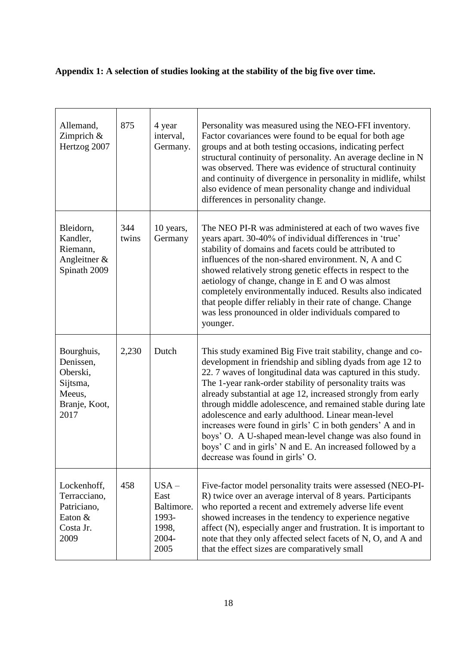# **Appendix 1: A selection of studies looking at the stability of the big five over time.**

| Allemand,<br>Zimprich &<br>Hertzog 2007                                            | 875          | 4 year<br>interval,<br>Germany.                                  | Personality was measured using the NEO-FFI inventory.<br>Factor covariances were found to be equal for both age<br>groups and at both testing occasions, indicating perfect<br>structural continuity of personality. An average decline in N<br>was observed. There was evidence of structural continuity<br>and continuity of divergence in personality in midlife, whilst<br>also evidence of mean personality change and individual<br>differences in personality change.                                                                                                                                                                                          |
|------------------------------------------------------------------------------------|--------------|------------------------------------------------------------------|-----------------------------------------------------------------------------------------------------------------------------------------------------------------------------------------------------------------------------------------------------------------------------------------------------------------------------------------------------------------------------------------------------------------------------------------------------------------------------------------------------------------------------------------------------------------------------------------------------------------------------------------------------------------------|
| Bleidorn,<br>Kandler,<br>Riemann,<br>Angleitner $\&$<br>Spinath 2009               | 344<br>twins | 10 years,<br>Germany                                             | The NEO PI-R was administered at each of two waves five<br>years apart. 30-40% of individual differences in 'true'<br>stability of domains and facets could be attributed to<br>influences of the non-shared environment. N, A and C<br>showed relatively strong genetic effects in respect to the<br>aetiology of change, change in E and O was almost<br>completely environmentally induced. Results also indicated<br>that people differ reliably in their rate of change. Change<br>was less pronounced in older individuals compared to<br>younger.                                                                                                              |
| Bourghuis,<br>Denissen,<br>Oberski,<br>Sijtsma,<br>Meeus,<br>Branje, Koot,<br>2017 | 2,230        | Dutch                                                            | This study examined Big Five trait stability, change and co-<br>development in friendship and sibling dyads from age 12 to<br>22. 7 waves of longitudinal data was captured in this study.<br>The 1-year rank-order stability of personality traits was<br>already substantial at age 12, increased strongly from early<br>through middle adolescence, and remained stable during late<br>adolescence and early adulthood. Linear mean-level<br>increases were found in girls' C in both genders' A and in<br>boys' O. A U-shaped mean-level change was also found in<br>boys' C and in girls' N and E. An increased followed by a<br>decrease was found in girls' O. |
| Lockenhoff,<br>Terracciano,<br>Patriciano,<br>Eaton &<br>Costa Jr.<br>2009         | 458          | $USA -$<br>East<br>Baltimore.<br>1993-<br>1998,<br>2004-<br>2005 | Five-factor model personality traits were assessed (NEO-PI-<br>R) twice over an average interval of 8 years. Participants<br>who reported a recent and extremely adverse life event<br>showed increases in the tendency to experience negative<br>affect (N), especially anger and frustration. It is important to<br>note that they only affected select facets of N, O, and A and<br>that the effect sizes are comparatively small                                                                                                                                                                                                                                  |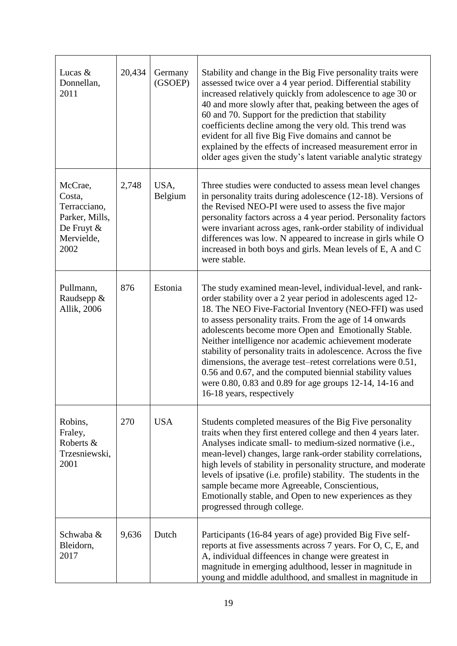| Lucas &<br>Donnellan,<br>2011                                                              | 20,434 | Germany<br>(GSOEP) | Stability and change in the Big Five personality traits were<br>assessed twice over a 4 year period. Differential stability<br>increased relatively quickly from adolescence to age 30 or<br>40 and more slowly after that, peaking between the ages of<br>60 and 70. Support for the prediction that stability<br>coefficients decline among the very old. This trend was<br>evident for all five Big Five domains and cannot be<br>explained by the effects of increased measurement error in<br>older ages given the study's latent variable analytic strategy                                                                                           |
|--------------------------------------------------------------------------------------------|--------|--------------------|-------------------------------------------------------------------------------------------------------------------------------------------------------------------------------------------------------------------------------------------------------------------------------------------------------------------------------------------------------------------------------------------------------------------------------------------------------------------------------------------------------------------------------------------------------------------------------------------------------------------------------------------------------------|
| McCrae,<br>Costa,<br>Terracciano,<br>Parker, Mills,<br>De Fruyt $\&$<br>Mervielde,<br>2002 | 2,748  | USA,<br>Belgium    | Three studies were conducted to assess mean level changes<br>in personality traits during adolescence (12-18). Versions of<br>the Revised NEO-PI were used to assess the five major<br>personality factors across a 4 year period. Personality factors<br>were invariant across ages, rank-order stability of individual<br>differences was low. N appeared to increase in girls while O<br>increased in both boys and girls. Mean levels of E, A and C<br>were stable.                                                                                                                                                                                     |
| Pullmann,<br>Raudsepp &<br>Allik, 2006                                                     | 876    | Estonia            | The study examined mean-level, individual-level, and rank-<br>order stability over a 2 year period in adolescents aged 12-<br>18. The NEO Five-Factorial Inventory (NEO-FFI) was used<br>to assess personality traits. From the age of 14 onwards<br>adolescents become more Open and Emotionally Stable.<br>Neither intelligence nor academic achievement moderate<br>stability of personality traits in adolescence. Across the five<br>dimensions, the average test–retest correlations were 0.51,<br>0.56 and 0.67, and the computed biennial stability values<br>were 0.80, 0.83 and 0.89 for age groups 12-14, 14-16 and<br>16-18 years, respectively |
| Robins,<br>Fraley,<br>Roberts &<br>Trzesniewski,<br>2001                                   | 270    | <b>USA</b>         | Students completed measures of the Big Five personality<br>traits when they first entered college and then 4 years later.<br>Analyses indicate small- to medium-sized normative (i.e.,<br>mean-level) changes, large rank-order stability correlations,<br>high levels of stability in personality structure, and moderate<br>levels of ipsative (i.e. profile) stability. The students in the<br>sample became more Agreeable, Conscientious,<br>Emotionally stable, and Open to new experiences as they<br>progressed through college.                                                                                                                    |
| Schwaba &<br>Bleidorn,<br>2017                                                             | 9,636  | Dutch              | Participants (16-84 years of age) provided Big Five self-<br>reports at five assessments across 7 years. For O, C, E, and<br>A, individual diffeences in change were greatest in<br>magnitude in emerging adulthood, lesser in magnitude in<br>young and middle adulthood, and smallest in magnitude in                                                                                                                                                                                                                                                                                                                                                     |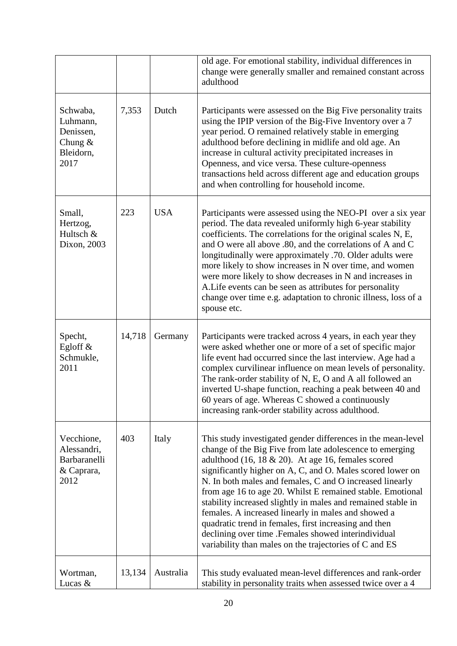|                                                                     |        |            | old age. For emotional stability, individual differences in<br>change were generally smaller and remained constant across<br>adulthood                                                                                                                                                                                                                                                                                                                                                                                                                                                                                                                                      |
|---------------------------------------------------------------------|--------|------------|-----------------------------------------------------------------------------------------------------------------------------------------------------------------------------------------------------------------------------------------------------------------------------------------------------------------------------------------------------------------------------------------------------------------------------------------------------------------------------------------------------------------------------------------------------------------------------------------------------------------------------------------------------------------------------|
| Schwaba,<br>Luhmann,<br>Denissen,<br>Chung $&$<br>Bleidorn,<br>2017 | 7,353  | Dutch      | Participants were assessed on the Big Five personality traits<br>using the IPIP version of the Big-Five Inventory over a 7<br>year period. O remained relatively stable in emerging<br>adulthood before declining in midlife and old age. An<br>increase in cultural activity precipitated increases in<br>Openness, and vice versa. These culture-openness<br>transactions held across different age and education groups<br>and when controlling for household income.                                                                                                                                                                                                    |
| Small,<br>Hertzog,<br>Hultsch &<br>Dixon, 2003                      | 223    | <b>USA</b> | Participants were assessed using the NEO-PI over a six year<br>period. The data revealed uniformly high 6-year stability<br>coefficients. The correlations for the original scales N, E,<br>and O were all above .80, and the correlations of A and C<br>longitudinally were approximately .70. Older adults were<br>more likely to show increases in N over time, and women<br>were more likely to show decreases in N and increases in<br>A. Life events can be seen as attributes for personality<br>change over time e.g. adaptation to chronic illness, loss of a<br>spouse etc.                                                                                       |
| Specht,<br>Egloff $\&$<br>Schmukle,<br>2011                         | 14,718 | Germany    | Participants were tracked across 4 years, in each year they<br>were asked whether one or more of a set of specific major<br>life event had occurred since the last interview. Age had a<br>complex curvilinear influence on mean levels of personality.<br>The rank-order stability of N, E, O and A all followed an<br>inverted U-shape function, reaching a peak between 40 and<br>60 years of age. Whereas C showed a continuously<br>increasing rank-order stability across adulthood.                                                                                                                                                                                  |
| Vecchione,<br>Alessandri,<br>Barbaranelli<br>& Caprara,<br>2012     | 403    | Italy      | This study investigated gender differences in the mean-level<br>change of the Big Five from late adolescence to emerging<br>adulthood $(16, 18 \& 20)$ . At age 16, females scored<br>significantly higher on A, C, and O. Males scored lower on<br>N. In both males and females, C and O increased linearly<br>from age 16 to age 20. Whilst E remained stable. Emotional<br>stability increased slightly in males and remained stable in<br>females. A increased linearly in males and showed a<br>quadratic trend in females, first increasing and then<br>declining over time .Females showed interindividual<br>variability than males on the trajectories of C and ES |
| Wortman,<br>Lucas &                                                 | 13,134 | Australia  | This study evaluated mean-level differences and rank-order<br>stability in personality traits when assessed twice over a 4                                                                                                                                                                                                                                                                                                                                                                                                                                                                                                                                                  |